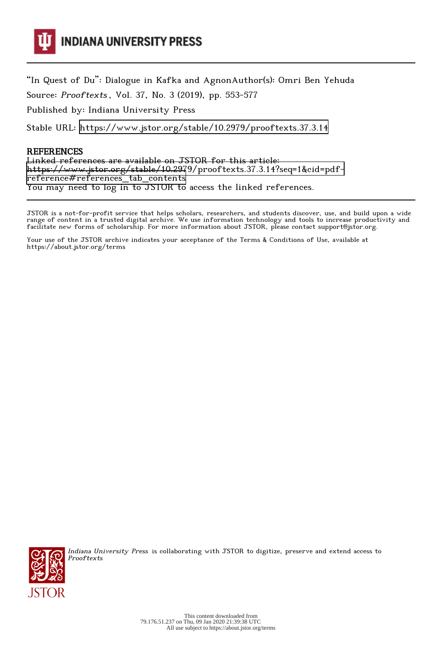

"In Quest of Du": Dialogue in Kafka and AgnonAuthor(s): Omri Ben Yehuda

Source: Prooftexts , Vol. 37, No. 3 (2019), pp. 553-577

Published by: Indiana University Press

Stable URL:<https://www.jstor.org/stable/10.2979/prooftexts.37.3.14>

# REFERENCES

Linked references are available on JSTOR for this article: [https://www.jstor.org/stable/10.2979/prooftexts.37.3.14?seq=1&cid=pdf](https://www.jstor.org/stable/10.2979/prooftexts.37.3.14?seq=1&cid=pdf-reference#references_tab_contents)[reference#references\\_tab\\_contents](https://www.jstor.org/stable/10.2979/prooftexts.37.3.14?seq=1&cid=pdf-reference#references_tab_contents) You may need to log in to JSTOR to access the linked references.

JSTOR is a not-for-profit service that helps scholars, researchers, and students discover, use, and build upon a wide range of content in a trusted digital archive. We use information technology and tools to increase productivity and facilitate new forms of scholarship. For more information about JSTOR, please contact support@jstor.org.

Your use of the JSTOR archive indicates your acceptance of the Terms & Conditions of Use, available at https://about.jstor.org/terms



Indiana University Press is collaborating with JSTOR to digitize, preserve and extend access to **Prooftexts**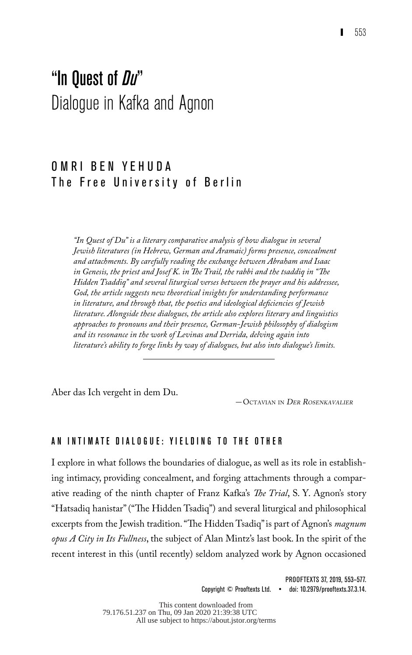# "In Quest of *Du*" Dialogue in Kafka and Agnon

# O M R I B F N Y F H U D A The Free University of Berlin

*"In Quest of Du" is a literary comparative analysis of how dialogue in several Jewish literatures (in Hebrew, German and Aramaic) forms presence, concealment and attachments. By carefully reading the exchange between Abraham and Isaac in Genesis, the priest and Josef K. in The Trail, the rabbi and the tsaddiq in "The Hidden Tsaddiq" and several liturgical verses between the prayer and his addressee, God, the article suggests new theoretical insights for understanding performance in literature, and through that, the poetics and ideological deficiencies of Jewish literature. Alongside these dialogues, the article also explores literary and linguistics approaches to pronouns and their presence, German-Jewish philosophy of dialogism and its resonance in the work of Levinas and Derrida, delving again into literature's ability to forge links by way of dialogues, but also into dialogue's limits.* 

Aber das Ich vergeht in dem Du.

—Octavian in Der Rosenkavalier

#### AN INTIMATE DIALOGUE: YIELDING TO THE OTHER

I explore in what follows the boundaries of dialogue, as well as its role in establishing intimacy, providing concealment, and forging attachments through a comparative reading of the ninth chapter of Franz Kafka's *The Trial*, S. Y. Agnon's story "Hatsadiq hanistar" ("The Hidden Tsadiq") and several liturgical and philosophical excerpts from the Jewish tradition. "The Hidden Tsadiq" is part of Agnon's *magnum opus A City in Its Fullness*, the subject of Alan Mintz's last book. In the spirit of the recent interest in this (until recently) seldom analyzed work by Agnon occasioned

> PROOFTEXTS 37, 2019, 553–577. Copyright © Prooftexts Ltd. • doi: 10.2979/prooftexts.37.3.14.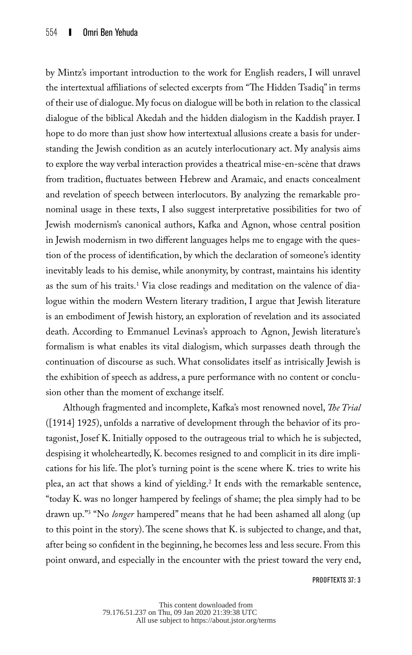by Mintz's important introduction to the work for English readers, I will unravel the intertextual affiliations of selected excerpts from "The Hidden Tsadiq" in terms of their use of dialogue. My focus on dialogue will be both in relation to the classical dialogue of the biblical Akedah and the hidden dialogism in the Kaddish prayer. I hope to do more than just show how intertextual allusions create a basis for understanding the Jewish condition as an acutely interlocutionary act. My analysis aims to explore the way verbal interaction provides a theatrical mise-en-scène that draws from tradition, fluctuates between Hebrew and Aramaic, and enacts concealment and revelation of speech between interlocutors. By analyzing the remarkable pronominal usage in these texts, I also suggest interpretative possibilities for two of Jewish modernism's canonical authors, Kafka and Agnon, whose central position in Jewish modernism in two different languages helps me to engage with the question of the process of identification, by which the declaration of someone's identity inevitably leads to his demise, while anonymity, by contrast, maintains his identity as the sum of his traits.<sup>1</sup> Via close readings and meditation on the valence of dialogue within the modern Western literary tradition, I argue that Jewish literature is an embodiment of Jewish history, an exploration of revelation and its associated death. According to Emmanuel Levinas's approach to Agnon, Jewish literature's formalism is what enables its vital dialogism, which surpasses death through the continuation of discourse as such. What consolidates itself as intrisically Jewish is the exhibition of speech as address, a pure performance with no content or conclusion other than the moment of exchange itself.

Although fragmented and incomplete, Kafka's most renowned novel, *The Trial* ([1914] 1925), unfolds a narrative of development through the behavior of its protagonist, Josef K. Initially opposed to the outrageous trial to which he is subjected, despising it wholeheartedly, K. becomes resigned to and complicit in its dire implications for his life. The plot's turning point is the scene where K. tries to write his plea, an act that shows a kind of yielding.2 It ends with the remarkable sentence, "today K. was no longer hampered by feelings of shame; the plea simply had to be drawn up."3 "No *longer* hampered" means that he had been ashamed all along (up to this point in the story). The scene shows that K. is subjected to change, and that, after being so confident in the beginning, he becomes less and less secure. From this point onward, and especially in the encounter with the priest toward the very end,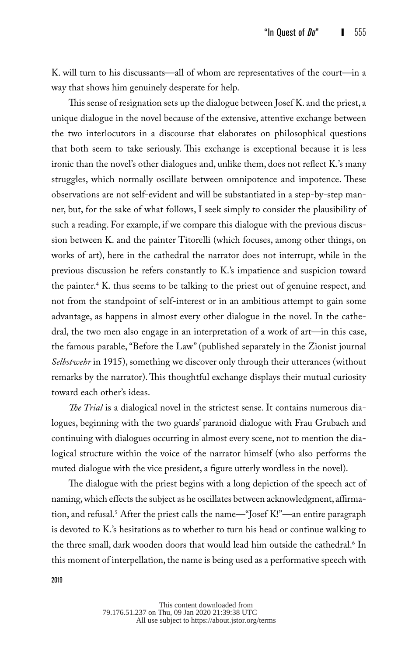K. will turn to his discussants—all of whom are representatives of the court—in a way that shows him genuinely desperate for help.

This sense of resignation sets up the dialogue between Josef K. and the priest, a unique dialogue in the novel because of the extensive, attentive exchange between the two interlocutors in a discourse that elaborates on philosophical questions that both seem to take seriously. This exchange is exceptional because it is less ironic than the novel's other dialogues and, unlike them, does not reflect K.'s many struggles, which normally oscillate between omnipotence and impotence. These observations are not self-evident and will be substantiated in a step-by-step manner, but, for the sake of what follows, I seek simply to consider the plausibility of such a reading. For example, if we compare this dialogue with the previous discussion between K. and the painter Titorelli (which focuses, among other things, on works of art), here in the cathedral the narrator does not interrupt, while in the previous discussion he refers constantly to K.'s impatience and suspicion toward the painter.4 K. thus seems to be talking to the priest out of genuine respect, and not from the standpoint of self-interest or in an ambitious attempt to gain some advantage, as happens in almost every other dialogue in the novel. In the cathedral, the two men also engage in an interpretation of a work of art—in this case, the famous parable, "Before the Law" (published separately in the Zionist journal *Selbstwehr* in 1915), something we discover only through their utterances (without remarks by the narrator). This thoughtful exchange displays their mutual curiosity toward each other's ideas.

*The Trial* is a dialogical novel in the strictest sense. It contains numerous dialogues, beginning with the two guards' paranoid dialogue with Frau Grubach and continuing with dialogues occurring in almost every scene, not to mention the dialogical structure within the voice of the narrator himself (who also performs the muted dialogue with the vice president, a figure utterly wordless in the novel).

The dialogue with the priest begins with a long depiction of the speech act of naming, which effects the subject as he oscillates between acknowledgment, affirmation, and refusal.5 After the priest calls the name—"Josef K!"—an entire paragraph is devoted to K.'s hesitations as to whether to turn his head or continue walking to the three small, dark wooden doors that would lead him outside the cathedral.<sup>6</sup> In this moment of interpellation, the name is being used as a performative speech with

> This content downloaded from 79.176.51.237 on Thu, 09 Jan 2020 21:39:38 UTC All use subject to https://about.jstor.org/terms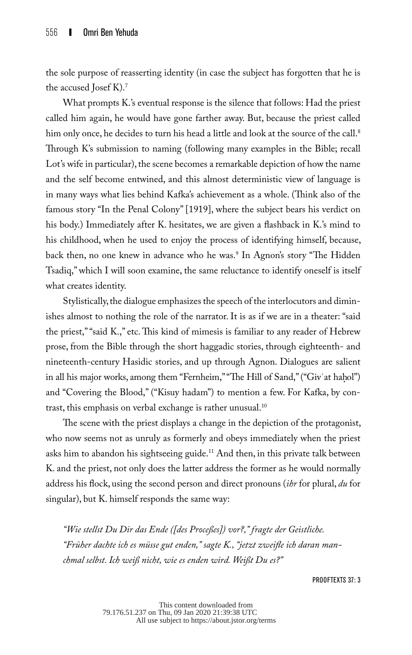the sole purpose of reasserting identity (in case the subject has forgotten that he is the accused Josef K).7

What prompts K.'s eventual response is the silence that follows: Had the priest called him again, he would have gone farther away. But, because the priest called him only once, he decides to turn his head a little and look at the source of the call.<sup>8</sup> Through K's submission to naming (following many examples in the Bible; recall Lot's wife in particular), the scene becomes a remarkable depiction of how the name and the self become entwined, and this almost deterministic view of language is in many ways what lies behind Kafka's achievement as a whole. (Think also of the famous story "In the Penal Colony" [1919], where the subject bears his verdict on his body.) Immediately after K. hesitates, we are given a flashback in K.'s mind to his childhood, when he used to enjoy the process of identifying himself, because, back then, no one knew in advance who he was.9 In Agnon's story "The Hidden Tsadiq," which I will soon examine, the same reluctance to identify oneself is itself what creates identity.

Stylistically, the dialogue emphasizes the speech of the interlocutors and diminishes almost to nothing the role of the narrator. It is as if we are in a theater: "said the priest," "said K.," etc. This kind of mimesis is familiar to any reader of Hebrew prose, from the Bible through the short haggadic stories, through eighteenth- and nineteenth-century Hasidic stories, and up through Agnon. Dialogues are salient in all his major works, among them "Fernheim," "The Hill of Sand," ("Giv'at hahol") and "Covering the Blood," ("Kisuy hadam") to mention a few. For Kafka, by contrast, this emphasis on verbal exchange is rather unusual.10

The scene with the priest displays a change in the depiction of the protagonist, who now seems not as unruly as formerly and obeys immediately when the priest asks him to abandon his sightseeing guide.<sup>11</sup> And then, in this private talk between K. and the priest, not only does the latter address the former as he would normally address his flock, using the second person and direct pronouns (*ihr* for plural, *du* for singular), but K. himself responds the same way:

*"Wie stellst Du Dir das Ende ([des Proceßes]) vor?," fragte der Geistliche. "Früher dachte ich es müsse gut enden," sagte K., "jetzt zweifle ich daran manchmal selbst. Ich weiß nicht, wie es enden wird. Weißt Du es?"*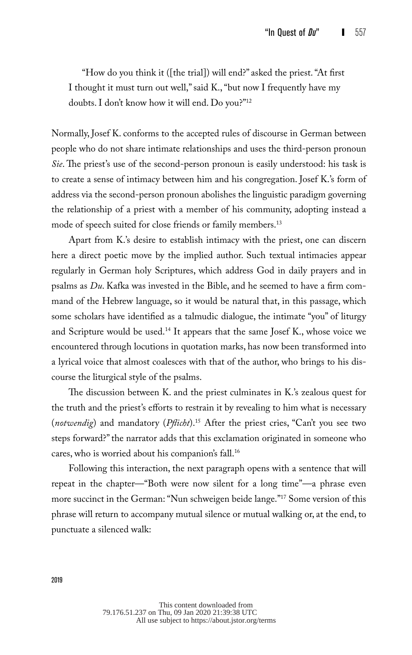"How do you think it ([the trial]) will end?" asked the priest. "At first I thought it must turn out well," said K., "but now I frequently have my doubts. I don't know how it will end. Do you?"12

Normally, Josef K. conforms to the accepted rules of discourse in German between people who do not share intimate relationships and uses the third-person pronoun *Sie*. The priest's use of the second-person pronoun is easily understood: his task is to create a sense of intimacy between him and his congregation. Josef K.'s form of address via the second-person pronoun abolishes the linguistic paradigm governing the relationship of a priest with a member of his community, adopting instead a mode of speech suited for close friends or family members.13

Apart from K.'s desire to establish intimacy with the priest, one can discern here a direct poetic move by the implied author. Such textual intimacies appear regularly in German holy Scriptures, which address God in daily prayers and in psalms as *Du*. Kafka was invested in the Bible, and he seemed to have a firm command of the Hebrew language, so it would be natural that, in this passage, which some scholars have identified as a talmudic dialogue, the intimate "you" of liturgy and Scripture would be used.<sup>14</sup> It appears that the same Josef K., whose voice we encountered through locutions in quotation marks, has now been transformed into a lyrical voice that almost coalesces with that of the author, who brings to his discourse the liturgical style of the psalms.

The discussion between K. and the priest culminates in K.'s zealous quest for the truth and the priest's efforts to restrain it by revealing to him what is necessary (*notwendig*) and mandatory (*Pflicht*).15 After the priest cries, "Can't you see two steps forward?" the narrator adds that this exclamation originated in someone who cares, who is worried about his companion's fall.16

Following this interaction, the next paragraph opens with a sentence that will repeat in the chapter—"Both were now silent for a long time"—a phrase even more succinct in the German: "Nun schweigen beide lange."17 Some version of this phrase will return to accompany mutual silence or mutual walking or, at the end, to punctuate a silenced walk: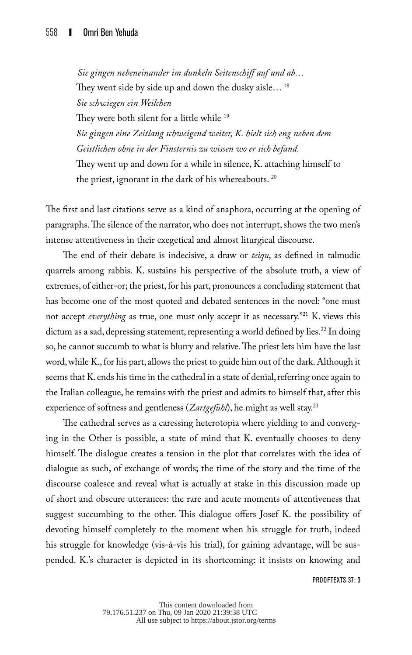*Sie gingen nebeneinander im dunkeln Seitenschiff auf und ab…* They went side by side up and down the dusky aisle...<sup>18</sup> *Sie schwiegen ein Weilchen* They were both silent for a little while <sup>19</sup> *Sie gingen eine Zeitlang schweigend weiter, K. hielt sich eng neben dem Geistlichen ohne in der Finsternis zu wissen wo er sich befand.*  They went up and down for a while in silence, K. attaching himself to the priest, ignorant in the dark of his whereabouts. 20

The first and last citations serve as a kind of anaphora, occurring at the opening of paragraphs. The silence of the narrator, who does not interrupt, shows the two men's intense attentiveness in their exegetical and almost liturgical discourse.

The end of their debate is indecisive, a draw or *teiqu*, as defined in talmudic quarrels among rabbis. K. sustains his perspective of the absolute truth, a view of extremes, of either-or; the priest, for his part, pronounces a concluding statement that has become one of the most quoted and debated sentences in the novel: "one must not accept *everything* as true, one must only accept it as necessary."21 K. views this dictum as a sad, depressing statement, representing a world defined by lies.<sup>22</sup> In doing so, he cannot succumb to what is blurry and relative. The priest lets him have the last word, while K., for his part, allows the priest to guide him out of the dark. Although it seems that K. ends his time in the cathedral in a state of denial, referring once again to the Italian colleague, he remains with the priest and admits to himself that, after this experience of softness and gentleness (*Zartgefühl*), he might as well stay.23

The cathedral serves as a caressing heterotopia where yielding to and converging in the Other is possible, a state of mind that K. eventually chooses to deny himself. The dialogue creates a tension in the plot that correlates with the idea of dialogue as such, of exchange of words; the time of the story and the time of the discourse coalesce and reveal what is actually at stake in this discussion made up of short and obscure utterances: the rare and acute moments of attentiveness that suggest succumbing to the other. This dialogue offers Josef K. the possibility of devoting himself completely to the moment when his struggle for truth, indeed his struggle for knowledge (vis-à-vis his trial), for gaining advantage, will be suspended. K.'s character is depicted in its shortcoming: it insists on knowing and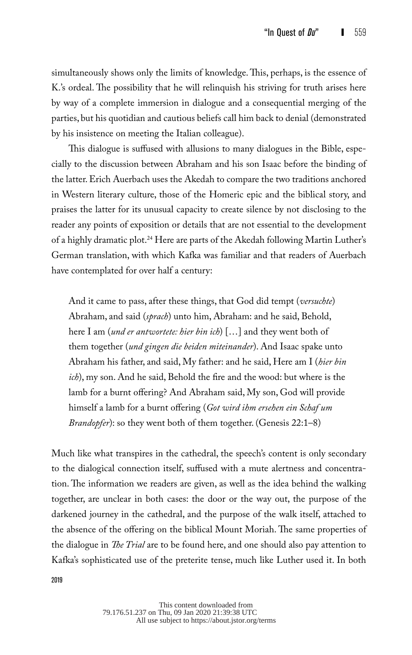simultaneously shows only the limits of knowledge. This, perhaps, is the essence of K.'s ordeal. The possibility that he will relinquish his striving for truth arises here by way of a complete immersion in dialogue and a consequential merging of the parties, but his quotidian and cautious beliefs call him back to denial (demonstrated by his insistence on meeting the Italian colleague).

This dialogue is suffused with allusions to many dialogues in the Bible, especially to the discussion between Abraham and his son Isaac before the binding of the latter. Erich Auerbach uses the Akedah to compare the two traditions anchored in Western literary culture, those of the Homeric epic and the biblical story, and praises the latter for its unusual capacity to create silence by not disclosing to the reader any points of exposition or details that are not essential to the development of a highly dramatic plot.<sup>24</sup> Here are parts of the Akedah following Martin Luther's German translation, with which Kafka was familiar and that readers of Auerbach have contemplated for over half a century:

And it came to pass, after these things, that God did tempt (*versuchte*) Abraham, and said (*sprach*) unto him, Abraham: and he said, Behold, here I am (*und er antwortete: hier bin ich*) […] and they went both of them together (*und gingen die beiden miteinander*). And Isaac spake unto Abraham his father, and said, My father: and he said, Here am I (*hier bin ich*), my son. And he said, Behold the fire and the wood: but where is the lamb for a burnt offering? And Abraham said, My son, God will provide himself a lamb for a burnt offering (*Got wird ihm ersehen ein Schaf um Brandopfer*): so they went both of them together. (Genesis 22:1–8)

Much like what transpires in the cathedral, the speech's content is only secondary to the dialogical connection itself, suffused with a mute alertness and concentration. The information we readers are given, as well as the idea behind the walking together, are unclear in both cases: the door or the way out, the purpose of the darkened journey in the cathedral, and the purpose of the walk itself, attached to the absence of the offering on the biblical Mount Moriah. The same properties of the dialogue in *The Trial* are to be found here, and one should also pay attention to Kafka's sophisticated use of the preterite tense, much like Luther used it. In both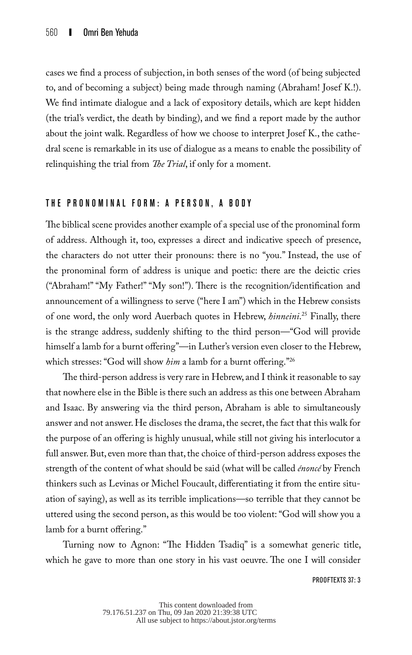cases we find a process of subjection, in both senses of the word (of being subjected to, and of becoming a subject) being made through naming (Abraham! Josef K.!). We find intimate dialogue and a lack of expository details, which are kept hidden (the trial's verdict, the death by binding), and we find a report made by the author about the joint walk. Regardless of how we choose to interpret Josef K., the cathedral scene is remarkable in its use of dialogue as a means to enable the possibility of relinquishing the trial from *The Trial*, if only for a moment.

#### THE PRONOMINAL FORM: A PERSON, A BODY

The biblical scene provides another example of a special use of the pronominal form of address. Although it, too, expresses a direct and indicative speech of presence, the characters do not utter their pronouns: there is no "you." Instead, the use of the pronominal form of address is unique and poetic: there are the deictic cries ("Abraham!" "My Father!" "My son!"). There is the recognition/identification and announcement of a willingness to serve ("here I am") which in the Hebrew consists of one word, the only word Auerbach quotes in Hebrew, *hinneini*. 25 Finally, there is the strange address, suddenly shifting to the third person—"God will provide himself a lamb for a burnt offering"—in Luther's version even closer to the Hebrew, which stresses: "God will show *him* a lamb for a burnt offering."<sup>26</sup>

The third-person address is very rare in Hebrew, and I think it reasonable to say that nowhere else in the Bible is there such an address as this one between Abraham and Isaac. By answering via the third person, Abraham is able to simultaneously answer and not answer. He discloses the drama, the secret, the fact that this walk for the purpose of an offering is highly unusual, while still not giving his interlocutor a full answer. But, even more than that, the choice of third-person address exposes the strength of the content of what should be said (what will be called *énoncé* by French thinkers such as Levinas or Michel Foucault, differentiating it from the entire situation of saying), as well as its terrible implications—so terrible that they cannot be uttered using the second person, as this would be too violent: "God will show you a lamb for a burnt offering."

Turning now to Agnon: "The Hidden Tsadiq" is a somewhat generic title, which he gave to more than one story in his vast oeuvre. The one I will consider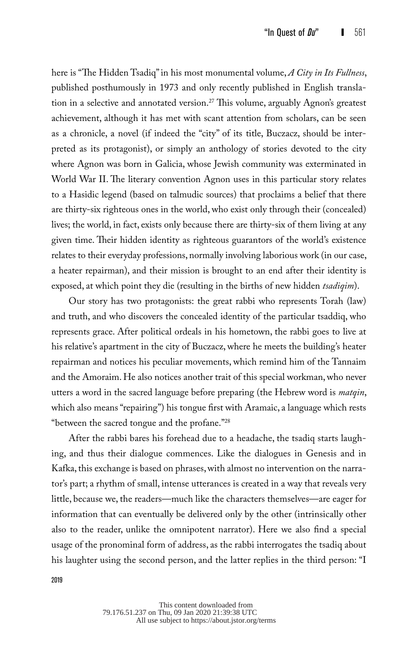here is "The Hidden Tsadiq" in his most monumental volume, *A City in Its Fullness*, published posthumously in 1973 and only recently published in English translation in a selective and annotated version.<sup>27</sup> This volume, arguably Agnon's greatest achievement, although it has met with scant attention from scholars, can be seen as a chronicle, a novel (if indeed the "city" of its title, Buczacz, should be interpreted as its protagonist), or simply an anthology of stories devoted to the city where Agnon was born in Galicia, whose Jewish community was exterminated in World War II. The literary convention Agnon uses in this particular story relates to a Hasidic legend (based on talmudic sources) that proclaims a belief that there are thirty-six righteous ones in the world, who exist only through their (concealed) lives; the world, in fact, exists only because there are thirty-six of them living at any given time. Their hidden identity as righteous guarantors of the world's existence relates to their everyday professions, normally involving laborious work (in our case, a heater repairman), and their mission is brought to an end after their identity is exposed, at which point they die (resulting in the births of new hidden *tsadiqim*).

Our story has two protagonists: the great rabbi who represents Torah (law) and truth, and who discovers the concealed identity of the particular tsaddiq, who represents grace. After political ordeals in his hometown, the rabbi goes to live at his relative's apartment in the city of Buczacz, where he meets the building's heater repairman and notices his peculiar movements, which remind him of the Tannaim and the Amoraim. He also notices another trait of this special workman, who never utters a word in the sacred language before preparing (the Hebrew word is *matqin*, which also means "repairing") his tongue first with Aramaic, a language which rests "between the sacred tongue and the profane."28

After the rabbi bares his forehead due to a headache, the tsadiq starts laughing, and thus their dialogue commences. Like the dialogues in Genesis and in Kafka, this exchange is based on phrases, with almost no intervention on the narrator's part; a rhythm of small, intense utterances is created in a way that reveals very little, because we, the readers—much like the characters themselves—are eager for information that can eventually be delivered only by the other (intrinsically other also to the reader, unlike the omnipotent narrator). Here we also find a special usage of the pronominal form of address, as the rabbi interrogates the tsadiq about his laughter using the second person, and the latter replies in the third person: "I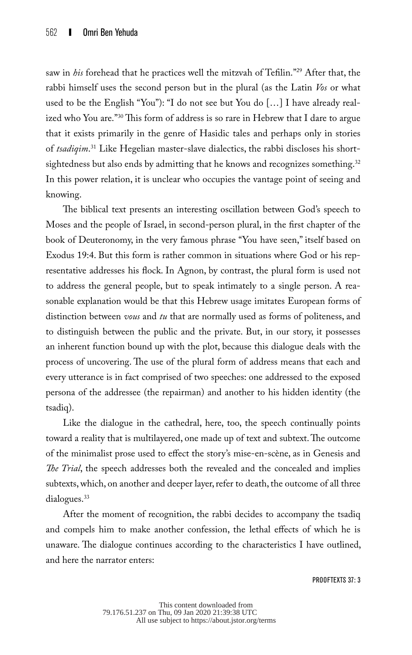saw in *his* forehead that he practices well the mitzvah of Tefilin."29 After that, the rabbi himself uses the second person but in the plural (as the Latin *Vos* or what used to be the English "You"): "I do not see but You do […] I have already realized who You are."30 This form of address is so rare in Hebrew that I dare to argue that it exists primarily in the genre of Hasidic tales and perhaps only in stories of *tsadiqim*. 31 Like Hegelian master-slave dialectics, the rabbi discloses his shortsightedness but also ends by admitting that he knows and recognizes something.<sup>32</sup> In this power relation, it is unclear who occupies the vantage point of seeing and knowing.

The biblical text presents an interesting oscillation between God's speech to Moses and the people of Israel, in second-person plural, in the first chapter of the book of Deuteronomy, in the very famous phrase "You have seen," itself based on Exodus 19:4. But this form is rather common in situations where God or his representative addresses his flock. In Agnon, by contrast, the plural form is used not to address the general people, but to speak intimately to a single person. A reasonable explanation would be that this Hebrew usage imitates European forms of distinction between *vous* and *tu* that are normally used as forms of politeness, and to distinguish between the public and the private. But, in our story, it possesses an inherent function bound up with the plot, because this dialogue deals with the process of uncovering. The use of the plural form of address means that each and every utterance is in fact comprised of two speeches: one addressed to the exposed persona of the addressee (the repairman) and another to his hidden identity (the tsadiq).

Like the dialogue in the cathedral, here, too, the speech continually points toward a reality that is multilayered, one made up of text and subtext. The outcome of the minimalist prose used to effect the story's mise-en-scène, as in Genesis and *The Trial*, the speech addresses both the revealed and the concealed and implies subtexts, which, on another and deeper layer, refer to death, the outcome of all three dialogues.<sup>33</sup>

After the moment of recognition, the rabbi decides to accompany the tsadiq and compels him to make another confession, the lethal effects of which he is unaware. The dialogue continues according to the characteristics I have outlined, and here the narrator enters: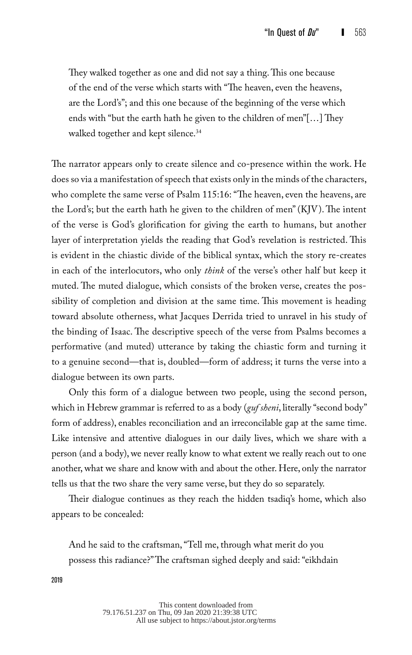They walked together as one and did not say a thing. This one because of the end of the verse which starts with "The heaven, even the heavens, are the Lord's"; and this one because of the beginning of the verse which ends with "but the earth hath he given to the children of men"[…] They walked together and kept silence.<sup>34</sup>

The narrator appears only to create silence and co-presence within the work. He does so via a manifestation of speech that exists only in the minds of the characters, who complete the same verse of Psalm 115:16: "The heaven, even the heavens, are the Lord's; but the earth hath he given to the children of men" (KJV). The intent of the verse is God's glorification for giving the earth to humans, but another layer of interpretation yields the reading that God's revelation is restricted. This is evident in the chiastic divide of the biblical syntax, which the story re-creates in each of the interlocutors, who only *think* of the verse's other half but keep it muted. The muted dialogue, which consists of the broken verse, creates the possibility of completion and division at the same time. This movement is heading toward absolute otherness, what Jacques Derrida tried to unravel in his study of the binding of Isaac. The descriptive speech of the verse from Psalms becomes a performative (and muted) utterance by taking the chiastic form and turning it to a genuine second—that is, doubled—form of address; it turns the verse into a dialogue between its own parts.

Only this form of a dialogue between two people, using the second person, which in Hebrew grammar is referred to as a body (*guf sheni*, literally "second body" form of address), enables reconciliation and an irreconcilable gap at the same time. Like intensive and attentive dialogues in our daily lives, which we share with a person (and a body), we never really know to what extent we really reach out to one another, what we share and know with and about the other. Here, only the narrator tells us that the two share the very same verse, but they do so separately.

Their dialogue continues as they reach the hidden tsadiq's home, which also appears to be concealed:

And he said to the craftsman, "Tell me, through what merit do you possess this radiance?" The craftsman sighed deeply and said: "eikhdain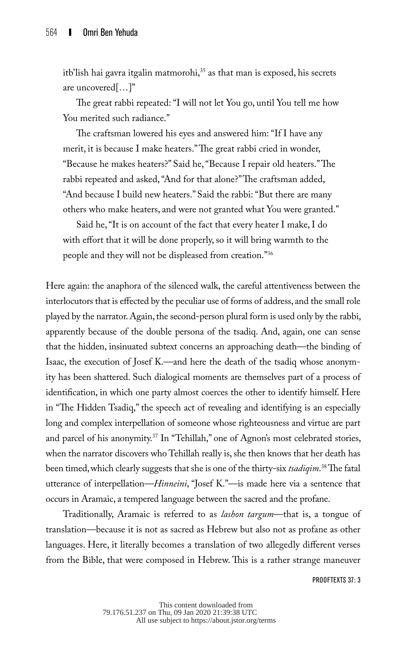itb'lish hai gavra itgalin matmorohi,<sup>35</sup> as that man is exposed, his secrets are uncovered[…]"

The great rabbi repeated: "I will not let You go, until You tell me how You merited such radiance."

The craftsman lowered his eyes and answered him: "If I have any merit, it is because I make heaters." The great rabbi cried in wonder, "Because he makes heaters?" Said he, "Because I repair old heaters." The rabbi repeated and asked, "And for that alone?" The craftsman added, "And because I build new heaters." Said the rabbi: "But there are many others who make heaters, and were not granted what You were granted."

Said he, "It is on account of the fact that every heater I make, I do with effort that it will be done properly, so it will bring warmth to the people and they will not be displeased from creation."36

Here again: the anaphora of the silenced walk, the careful attentiveness between the interlocutors that is effected by the peculiar use of forms of address, and the small role played by the narrator. Again, the second-person plural form is used only by the rabbi, apparently because of the double persona of the tsadiq. And, again, one can sense that the hidden, insinuated subtext concerns an approaching death—the binding of Isaac, the execution of Josef K.—and here the death of the tsadiq whose anonymity has been shattered. Such dialogical moments are themselves part of a process of identification, in which one party almost coerces the other to identify himself. Here in "The Hidden Tsadiq," the speech act of revealing and identifying is an especially long and complex interpellation of someone whose righteousness and virtue are part and parcel of his anonymity.<sup>37</sup> In "Tehillah," one of Agnon's most celebrated stories, when the narrator discovers who Tehillah really is, she then knows that her death has been timed, which clearly suggests that she is one of the thirty-six *tsadiqim*. 38 The fatal utterance of interpellation—*Hinneini*, "Josef K."—is made here via a sentence that occurs in Aramaic, a tempered language between the sacred and the profane.

Traditionally, Aramaic is referred to as *lashon targum*—that is, a tongue of translation—because it is not as sacred as Hebrew but also not as profane as other languages. Here, it literally becomes a translation of two allegedly different verses from the Bible, that were composed in Hebrew. This is a rather strange maneuver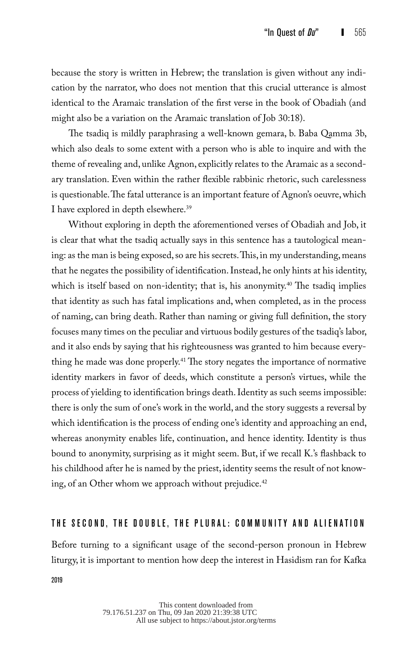because the story is written in Hebrew; the translation is given without any indication by the narrator, who does not mention that this crucial utterance is almost identical to the Aramaic translation of the first verse in the book of Obadiah (and might also be a variation on the Aramaic translation of Job 30:18).

The tsadiq is mildly paraphrasing a well-known gemara, b. Baba Qamma 3b, which also deals to some extent with a person who is able to inquire and with the theme of revealing and, unlike Agnon, explicitly relates to the Aramaic as a secondary translation. Even within the rather flexible rabbinic rhetoric, such carelessness is questionable. The fatal utterance is an important feature of Agnon's oeuvre, which I have explored in depth elsewhere.<sup>39</sup>

Without exploring in depth the aforementioned verses of Obadiah and Job, it is clear that what the tsadiq actually says in this sentence has a tautological meaning: as the man is being exposed, so are his secrets. This, in my understanding, means that he negates the possibility of identification. Instead, he only hints at his identity, which is itself based on non-identity; that is, his anonymity.<sup>40</sup> The tsadiq implies that identity as such has fatal implications and, when completed, as in the process of naming, can bring death. Rather than naming or giving full definition, the story focuses many times on the peculiar and virtuous bodily gestures of the tsadiq's labor, and it also ends by saying that his righteousness was granted to him because everything he made was done properly.<sup>41</sup> The story negates the importance of normative identity markers in favor of deeds, which constitute a person's virtues, while the process of yielding to identification brings death. Identity as such seems impossible: there is only the sum of one's work in the world, and the story suggests a reversal by which identification is the process of ending one's identity and approaching an end, whereas anonymity enables life, continuation, and hence identity. Identity is thus bound to anonymity, surprising as it might seem. But, if we recall K.'s flashback to his childhood after he is named by the priest, identity seems the result of not knowing, of an Other whom we approach without prejudice. $42$ 

### THE SECOND, THE DOUBLE, THE PLURAL: COMMUNITY AND ALIENATION

Before turning to a significant usage of the second-person pronoun in Hebrew liturgy, it is important to mention how deep the interest in Hasidism ran for Kafka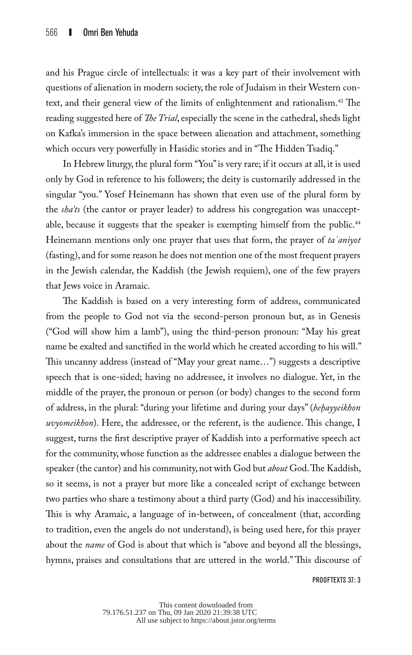and his Prague circle of intellectuals: it was a key part of their involvement with questions of alienation in modern society, the role of Judaism in their Western context, and their general view of the limits of enlightenment and rationalism.<sup>43</sup> The reading suggested here of *The Trial*, especially the scene in the cathedral, sheds light on Kafka's immersion in the space between alienation and attachment, something which occurs very powerfully in Hasidic stories and in "The Hidden Tsadiq."

In Hebrew liturgy, the plural form "You" is very rare; if it occurs at all, it is used only by God in reference to his followers; the deity is customarily addressed in the singular "you." Yosef Heinemann has shown that even use of the plural form by the *sha'ts* (the cantor or prayer leader) to address his congregation was unacceptable, because it suggests that the speaker is exempting himself from the public.<sup>44</sup> Heinemann mentions only one prayer that uses that form, the prayer of *taʿaniyot*  (fasting), and for some reason he does not mention one of the most frequent prayers in the Jewish calendar, the Kaddish (the Jewish requiem), one of the few prayers that Jews voice in Aramaic.

The Kaddish is based on a very interesting form of address, communicated from the people to God not via the second-person pronoun but, as in Genesis ("God will show him a lamb"), using the third-person pronoun: "May his great name be exalted and sanctified in the world which he created according to his will." This uncanny address (instead of "May your great name…") suggests a descriptive speech that is one-sided; having no addressee, it involves no dialogue. Yet, in the middle of the prayer, the pronoun or person (or body) changes to the second form of address, in the plural: "during your lifetime and during your days" (*behayyeikhon uvyomeikhon*). Here, the addressee, or the referent, is the audience. This change, I suggest, turns the first descriptive prayer of Kaddish into a performative speech act for the community, whose function as the addressee enables a dialogue between the speaker (the cantor) and his community, not with God but *about* God. The Kaddish, so it seems, is not a prayer but more like a concealed script of exchange between two parties who share a testimony about a third party (God) and his inaccessibility. This is why Aramaic, a language of in-between, of concealment (that, according to tradition, even the angels do not understand), is being used here, for this prayer about the *name* of God is about that which is "above and beyond all the blessings, hymns, praises and consultations that are uttered in the world." This discourse of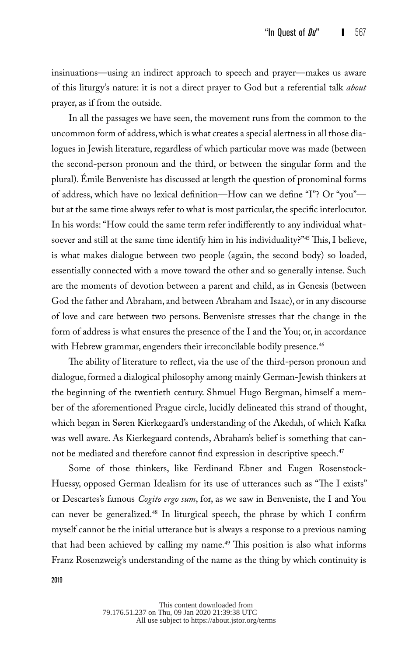insinuations—using an indirect approach to speech and prayer—makes us aware of this liturgy's nature: it is not a direct prayer to God but a referential talk *about* prayer, as if from the outside.

In all the passages we have seen, the movement runs from the common to the uncommon form of address, which is what creates a special alertness in all those dialogues in Jewish literature, regardless of which particular move was made (between the second-person pronoun and the third, or between the singular form and the plural). Émile Benveniste has discussed at length the question of pronominal forms of address, which have no lexical definition—How can we define "I"? Or "you" but at the same time always refer to what is most particular, the specific interlocutor. In his words: "How could the same term refer indifferently to any individual whatsoever and still at the same time identify him in his individuality?"45 This, I believe, is what makes dialogue between two people (again, the second body) so loaded, essentially connected with a move toward the other and so generally intense. Such are the moments of devotion between a parent and child, as in Genesis (between God the father and Abraham, and between Abraham and Isaac), or in any discourse of love and care between two persons. Benveniste stresses that the change in the form of address is what ensures the presence of the I and the You; or, in accordance with Hebrew grammar, engenders their irreconcilable bodily presence.<sup>46</sup>

The ability of literature to reflect, via the use of the third-person pronoun and dialogue, formed a dialogical philosophy among mainly German-Jewish thinkers at the beginning of the twentieth century. Shmuel Hugo Bergman, himself a member of the aforementioned Prague circle, lucidly delineated this strand of thought, which began in Søren Kierkegaard's understanding of the Akedah, of which Kafka was well aware. As Kierkegaard contends, Abraham's belief is something that cannot be mediated and therefore cannot find expression in descriptive speech.<sup>47</sup>

Some of those thinkers, like Ferdinand Ebner and Eugen Rosenstock-Huessy, opposed German Idealism for its use of utterances such as "The I exists" or Descartes's famous *Cogito ergo sum*, for, as we saw in Benveniste, the I and You can never be generalized.<sup>48</sup> In liturgical speech, the phrase by which I confirm myself cannot be the initial utterance but is always a response to a previous naming that had been achieved by calling my name.<sup>49</sup> This position is also what informs Franz Rosenzweig's understanding of the name as the thing by which continuity is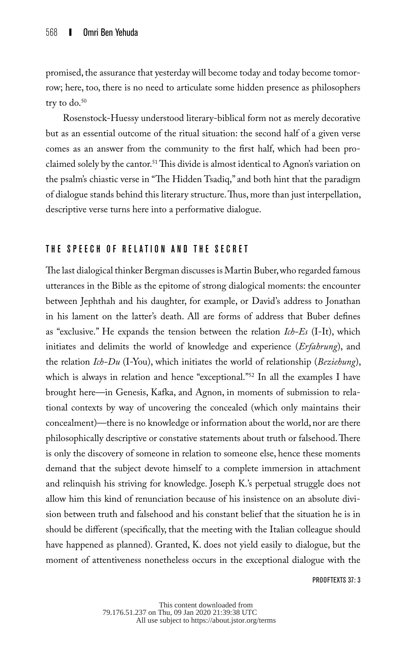promised, the assurance that yesterday will become today and today become tomorrow; here, too, there is no need to articulate some hidden presence as philosophers try to  $do.^{50}$ 

Rosenstock-Huessy understood literary-biblical form not as merely decorative but as an essential outcome of the ritual situation: the second half of a given verse comes as an answer from the community to the first half, which had been proclaimed solely by the cantor.<sup>51</sup> This divide is almost identical to Agnon's variation on the psalm's chiastic verse in "The Hidden Tsadiq," and both hint that the paradigm of dialogue stands behind this literary structure. Thus, more than just interpellation, descriptive verse turns here into a performative dialogue.

## THE SPEECH OF RELATION AND THE SECRET

The last dialogical thinker Bergman discusses is Martin Buber, who regarded famous utterances in the Bible as the epitome of strong dialogical moments: the encounter between Jephthah and his daughter, for example, or David's address to Jonathan in his lament on the latter's death. All are forms of address that Buber defines as "exclusive." He expands the tension between the relation *Ich-Es* (I-It), which initiates and delimits the world of knowledge and experience (*Erfahrung*), and the relation *Ich-Du* (I-You), which initiates the world of relationship (*Beziehung*), which is always in relation and hence "exceptional."<sup>52</sup> In all the examples I have brought here—in Genesis, Kafka, and Agnon, in moments of submission to relational contexts by way of uncovering the concealed (which only maintains their concealment)—there is no knowledge or information about the world, nor are there philosophically descriptive or constative statements about truth or falsehood. There is only the discovery of someone in relation to someone else, hence these moments demand that the subject devote himself to a complete immersion in attachment and relinquish his striving for knowledge. Joseph K.'s perpetual struggle does not allow him this kind of renunciation because of his insistence on an absolute division between truth and falsehood and his constant belief that the situation he is in should be different (specifically, that the meeting with the Italian colleague should have happened as planned). Granted, K. does not yield easily to dialogue, but the moment of attentiveness nonetheless occurs in the exceptional dialogue with the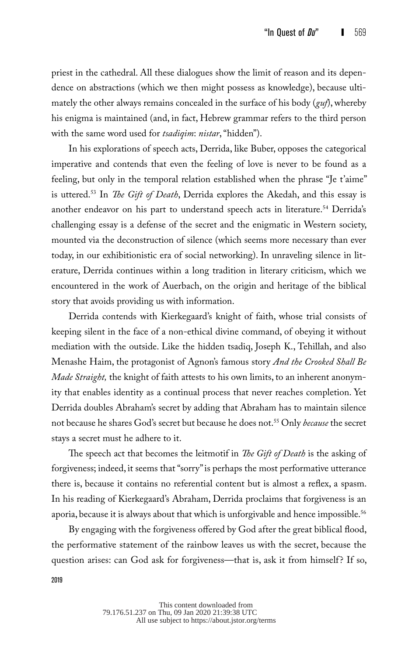priest in the cathedral. All these dialogues show the limit of reason and its dependence on abstractions (which we then might possess as knowledge), because ultimately the other always remains concealed in the surface of his body (*guf*), whereby his enigma is maintained (and, in fact, Hebrew grammar refers to the third person with the same word used for *tsadiqim*: *nistar*, "hidden").

In his explorations of speech acts, Derrida, like Buber, opposes the categorical imperative and contends that even the feeling of love is never to be found as a feeling, but only in the temporal relation established when the phrase "Je t'aime" is uttered.53 In *The Gift of Death*, Derrida explores the Akedah, and this essay is another endeavor on his part to understand speech acts in literature.<sup>54</sup> Derrida's challenging essay is a defense of the secret and the enigmatic in Western society, mounted via the deconstruction of silence (which seems more necessary than ever today, in our exhibitionistic era of social networking). In unraveling silence in literature, Derrida continues within a long tradition in literary criticism, which we encountered in the work of Auerbach, on the origin and heritage of the biblical story that avoids providing us with information.

Derrida contends with Kierkegaard's knight of faith, whose trial consists of keeping silent in the face of a non-ethical divine command, of obeying it without mediation with the outside. Like the hidden tsadiq, Joseph K., Tehillah, and also Menashe Haim, the protagonist of Agnon's famous story *And the Crooked Shall Be Made Straight,* the knight of faith attests to his own limits, to an inherent anonymity that enables identity as a continual process that never reaches completion. Yet Derrida doubles Abraham's secret by adding that Abraham has to maintain silence not because he shares God's secret but because he does not.55 Only *because* the secret stays a secret must he adhere to it.

The speech act that becomes the leitmotif in *The Gift of Death* is the asking of forgiveness; indeed, it seems that "sorry" is perhaps the most performative utterance there is, because it contains no referential content but is almost a reflex, a spasm. In his reading of Kierkegaard's Abraham, Derrida proclaims that forgiveness is an aporia, because it is always about that which is unforgivable and hence impossible.<sup>56</sup>

By engaging with the forgiveness offered by God after the great biblical flood, the performative statement of the rainbow leaves us with the secret, because the question arises: can God ask for forgiveness—that is, ask it from himself? If so,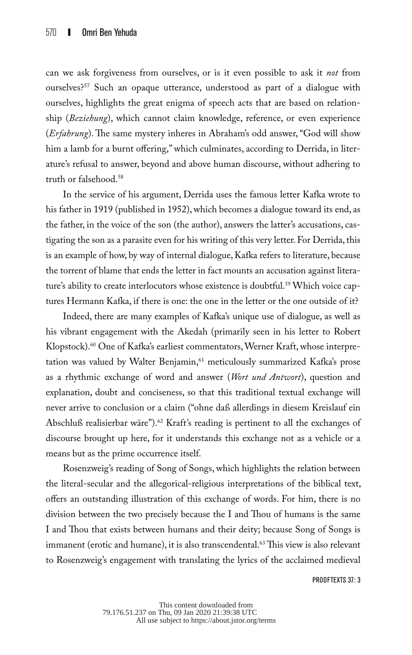can we ask forgiveness from ourselves, or is it even possible to ask it *not* from ourselves?57 Such an opaque utterance, understood as part of a dialogue with ourselves, highlights the great enigma of speech acts that are based on relationship (*Beziehung*), which cannot claim knowledge, reference, or even experience (*Erfahrung*). The same mystery inheres in Abraham's odd answer, "God will show him a lamb for a burnt offering," which culminates, according to Derrida, in literature's refusal to answer, beyond and above human discourse, without adhering to truth or falsehood.58

In the service of his argument, Derrida uses the famous letter Kafka wrote to his father in 1919 (published in 1952), which becomes a dialogue toward its end, as the father, in the voice of the son (the author), answers the latter's accusations, castigating the son as a parasite even for his writing of this very letter. For Derrida, this is an example of how, by way of internal dialogue, Kafka refers to literature, because the torrent of blame that ends the letter in fact mounts an accusation against literature's ability to create interlocutors whose existence is doubtful.<sup>59</sup> Which voice captures Hermann Kafka, if there is one: the one in the letter or the one outside of it?

Indeed, there are many examples of Kafka's unique use of dialogue, as well as his vibrant engagement with the Akedah (primarily seen in his letter to Robert Klopstock).<sup>60</sup> One of Kafka's earliest commentators, Werner Kraft, whose interpretation was valued by Walter Benjamin,<sup>61</sup> meticulously summarized Kafka's prose as a rhythmic exchange of word and answer (*Wort und Antwort*), question and explanation, doubt and conciseness, so that this traditional textual exchange will never arrive to conclusion or a claim ("ohne daß allerdings in diesem Kreislauf ein Abschluß realisierbar wäre").<sup>62</sup> Kraft's reading is pertinent to all the exchanges of discourse brought up here, for it understands this exchange not as a vehicle or a means but as the prime occurrence itself.

Rosenzweig's reading of Song of Songs, which highlights the relation between the literal-secular and the allegorical-religious interpretations of the biblical text, offers an outstanding illustration of this exchange of words. For him, there is no division between the two precisely because the I and Thou of humans is the same I and Thou that exists between humans and their deity; because Song of Songs is immanent (erotic and humane), it is also transcendental.<sup>63</sup> This view is also relevant to Rosenzweig's engagement with translating the lyrics of the acclaimed medieval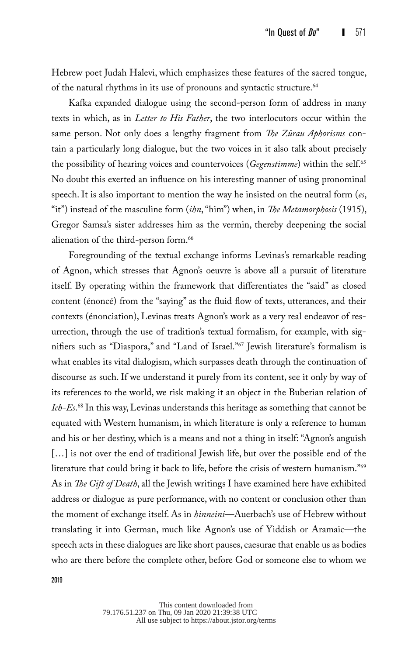Hebrew poet Judah Halevi, which emphasizes these features of the sacred tongue, of the natural rhythms in its use of pronouns and syntactic structure.<sup>64</sup>

Kafka expanded dialogue using the second-person form of address in many texts in which, as in *Letter to His Father*, the two interlocutors occur within the same person. Not only does a lengthy fragment from *The Zürau Aphorisms* contain a particularly long dialogue, but the two voices in it also talk about precisely the possibility of hearing voices and countervoices (*Gegenstimme*) within the self.65 No doubt this exerted an influence on his interesting manner of using pronominal speech. It is also important to mention the way he insisted on the neutral form (*es*, "it") instead of the masculine form (*ihn*, "him") when, in *The Metamorphosis* (1915), Gregor Samsa's sister addresses him as the vermin, thereby deepening the social alienation of the third-person form.<sup>66</sup>

Foregrounding of the textual exchange informs Levinas's remarkable reading of Agnon, which stresses that Agnon's oeuvre is above all a pursuit of literature itself. By operating within the framework that differentiates the "said" as closed content (énoncé) from the "saying" as the fluid flow of texts, utterances, and their contexts (énonciation), Levinas treats Agnon's work as a very real endeavor of resurrection, through the use of tradition's textual formalism, for example, with signifiers such as "Diaspora," and "Land of Israel."67 Jewish literature's formalism is what enables its vital dialogism, which surpasses death through the continuation of discourse as such. If we understand it purely from its content, see it only by way of its references to the world, we risk making it an object in the Buberian relation of *Ich-Es*. 68 In this way, Levinas understands this heritage as something that cannot be equated with Western humanism, in which literature is only a reference to human and his or her destiny, which is a means and not a thing in itself: "Agnon's anguish [...] is not over the end of traditional Jewish life, but over the possible end of the literature that could bring it back to life, before the crisis of western humanism."69 As in *The Gift of Death*, all the Jewish writings I have examined here have exhibited address or dialogue as pure performance, with no content or conclusion other than the moment of exchange itself. As in *hinneini*—Auerbach's use of Hebrew without translating it into German, much like Agnon's use of Yiddish or Aramaic—the speech acts in these dialogues are like short pauses, caesurae that enable us as bodies who are there before the complete other, before God or someone else to whom we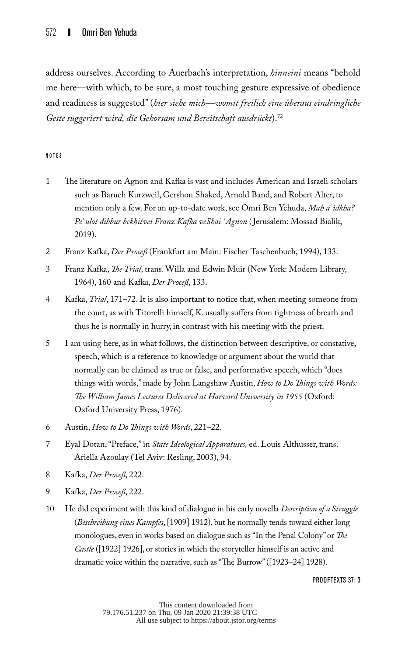address ourselves. According to Auerbach's interpretation, *hinneini* means "behold me here—with which, to be sure, a most touching gesture expressive of obedience and readiness is suggested" (*hier siehe mich—womit freilich eine überaus eindringliche Geste suggeriert wird, die Gehorsam und Bereitschaft ausdrückt*).72

#### NOTES

- 1 The literature on Agnon and Kafka is vast and includes American and Israeli scholars such as Baruch Kurzweil, Gershon Shaked, Arnold Band, and Robert Alter, to mention only a few. For an up-to-date work, see Omri Ben Yehuda, *Mah a*ʿ*idkha? Pe*ʿ*ulot dibbur bekhitvei Franz Kafka veShai* ʿ*Agnon* ( Jerusalem: Mossad Bialik, 2019).
- 2 Franz Kafka, *Der Proceß* (Frankfurt am Main: Fischer Taschenbuch, 1994), 133.
- 3 Franz Kafka, *The Trial*, trans. Willa and Edwin Muir (New York: Modern Library, 1964), 160 and Kafka, *Der Proceß*, 133.
- 4 Kafka, *Trial*, 171–72. It is also important to notice that, when meeting someone from the court, as with Titorelli himself, K. usually suffers from tightness of breath and thus he is normally in hurry, in contrast with his meeting with the priest.
- 5 I am using here, as in what follows, the distinction between descriptive, or constative, speech, which is a reference to knowledge or argument about the world that normally can be claimed as true or false, and performative speech, which "does things with words," made by John Langshaw Austin, *How to Do Things with Words: The William James Lectures Delivered at Harvard University in 1955* (Oxford: Oxford University Press, 1976).
- 6 Austin, *How to Do Things with Words*, 221–22.
- 7 Eyal Dotan, "Preface," in *State Ideological Apparatuses,* ed. Louis Althusser, trans. Ariella Azoulay (Tel Aviv: Resling, 2003), 94.
- 8 Kafka, *Der Proceß*, 222.
- 9 Kafka, *Der Proceß*, 222.
- 10 He did experiment with this kind of dialogue in his early novella *Description of a Struggle* (*Beschreibung eines Kampfes*, [1909] 1912), but he normally tends toward either long monologues, even in works based on dialogue such as "In the Penal Colony" or *The Castle* ([1922] 1926], or stories in which the storyteller himself is an active and dramatic voice within the narrative, such as "The Burrow" ([1923–24] 1928).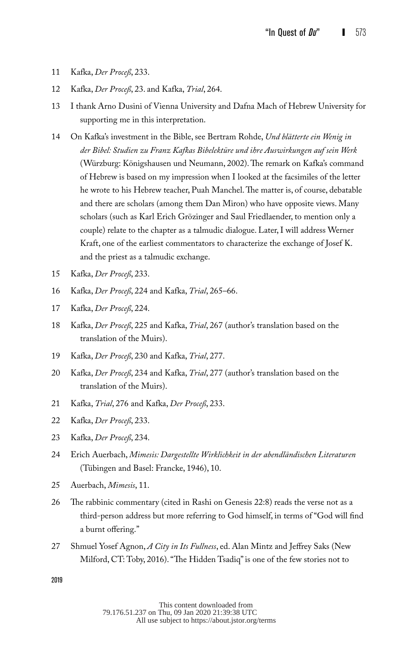- 11 Kafka, *Der Proceß*, 233.
- 12 Kafka, *Der Proceß*, 23. and Kafka, *Trial*, 264.
- 13 I thank Arno Dusini of Vienna University and Dafna Mach of Hebrew University for supporting me in this interpretation.
- 14 On Kafka's investment in the Bible, see Bertram Rohde, *Und blätterte ein Wenig in der Bibel: Studien zu Franz Kafkas Bibelektüre und ihre Auswirkungen auf sein Werk*  (Würzburg: Königshausen und Neumann, 2002). The remark on Kafka's command of Hebrew is based on my impression when I looked at the facsimiles of the letter he wrote to his Hebrew teacher, Puah Manchel. The matter is, of course, debatable and there are scholars (among them Dan Miron) who have opposite views. Many scholars (such as Karl Erich Grözinger and Saul Friedlaender, to mention only a couple) relate to the chapter as a talmudic dialogue. Later, I will address Werner Kraft, one of the earliest commentators to characterize the exchange of Josef K. and the priest as a talmudic exchange.
- 15 Kafka, *Der Proceß*, 233.
- 16 Kafka, *Der Proceß*, 224 and Kafka, *Trial*, 265–66.
- 17 Kafka, *Der Proceß*, 224.
- 18 Kafka, *Der Proceß*, 225 and Kafka, *Trial*, 267 (author's translation based on the translation of the Muirs).
- 19 Kafka, *Der Proceß*, 230 and Kafka, *Trial*, 277.
- 20 Kafka, *Der Proceß*, 234 and Kafka, *Trial*, 277 (author's translation based on the translation of the Muirs).
- 21 Kafka, *Trial*, 276 and Kafka, *Der Proceß*, 233.
- 22 Kafka, *Der Proceß*, 233.
- 23 Kafka, *Der Proceß*, 234.
- 24 Erich Auerbach, *Mimesis: Dargestellte Wirklichkeit in der abendländischen Literaturen* (Tübingen and Basel: Francke, 1946), 10.
- 25 Auerbach, *Mimesis*, 11.
- 26 The rabbinic commentary (cited in Rashi on Genesis 22:8) reads the verse not as a third-person address but more referring to God himself, in terms of "God will find a burnt offering."
- 27 Shmuel Yosef Agnon, *A City in Its Fullness*, ed. Alan Mintz and Jeffrey Saks (New Milford, CT: Toby, 2016). "The Hidden Tsadiq" is one of the few stories not to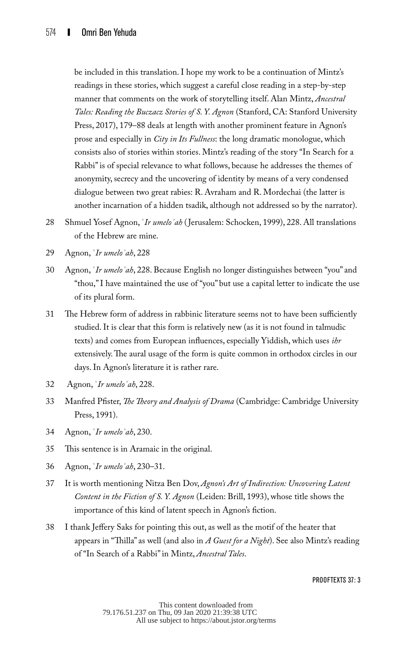be included in this translation. I hope my work to be a continuation of Mintz's readings in these stories, which suggest a careful close reading in a step-by-step manner that comments on the work of storytelling itself. Alan Mintz, *Ancestral Tales: Reading the Buczacz Stories of S. Y. Agnon* (Stanford, CA: Stanford University Press, 2017), 179–88 deals at length with another prominent feature in Agnon's prose and especially in *City in Its Fullness*: the long dramatic monologue, which consists also of stories within stories. Mintz's reading of the story "In Search for a Rabbi" is of special relevance to what follows, because he addresses the themes of anonymity, secrecy and the uncovering of identity by means of a very condensed dialogue between two great rabies: R. Avraham and R. Mordechai (the latter is another incarnation of a hidden tsadik, although not addressed so by the narrator).

- 28 Shmuel Yosef Agnon, ʿ*Ir umeloʾah* ( Jerusalem: Schocken, 1999), 228. All translations of the Hebrew are mine.
- 29 Agnon, ʿ*Ir umeloʾah*, 228
- 30 Agnon, ʿ*Ir umeloʾah*, 228. Because English no longer distinguishes between "you" and "thou," I have maintained the use of "you" but use a capital letter to indicate the use of its plural form.
- 31 The Hebrew form of address in rabbinic literature seems not to have been sufficiently studied. It is clear that this form is relatively new (as it is not found in talmudic texts) and comes from European influences, especially Yiddish, which uses *ihr* extensively. The aural usage of the form is quite common in orthodox circles in our days. In Agnon's literature it is rather rare.
- 32 Agnon, ʿ*Ir umeloʾah*, 228.
- 33 Manfred Pfister, *The Theory and Analysis of Drama* (Cambridge: Cambridge University Press, 1991).
- 34 Agnon, ʿ*Ir umeloʾah*, 230.
- 35 This sentence is in Aramaic in the original.
- 36 Agnon, ʿ*Ir umeloʾah*, 230–31.
- 37 It is worth mentioning Nitza Ben Dov, *Agnon's Art of Indirection: Uncovering Latent Content in the Fiction of S. Y. Agnon* (Leiden: Brill, 1993), whose title shows the importance of this kind of latent speech in Agnon's fiction.
- 38 I thank Jeffery Saks for pointing this out, as well as the motif of the heater that appears in "Thilla" as well (and also in *A Guest for a Night*). See also Mintz's reading of "In Search of a Rabbi" in Mintz, *Ancestral Tales*.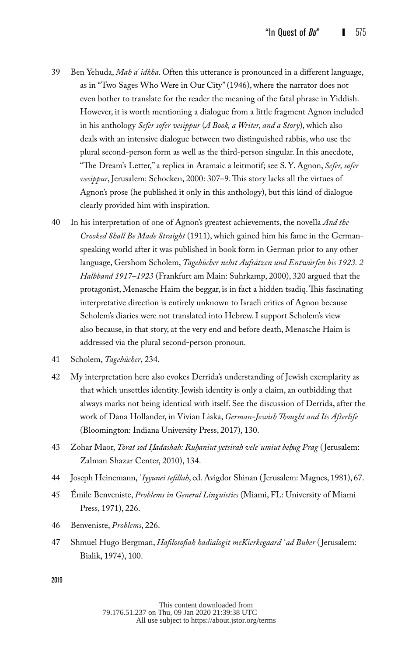- 39 Ben Yehuda, *Mah a*ʿ*idkha*. Often this utterance is pronounced in a different language, as in "Two Sages Who Were in Our City" (1946), where the narrator does not even bother to translate for the reader the meaning of the fatal phrase in Yiddish. However, it is worth mentioning a dialogue from a little fragment Agnon included in his anthology *Sefer sofer vesippur* (*A Book, a Writer, and a Story*), which also deals with an intensive dialogue between two distinguished rabbis, who use the plural second-person form as well as the third-person singular. In this anecdote, "The Dream's Letter," a replica in Aramaic a leitmotif; see S. Y. Agnon, *Sefer, sofer vesippur*, Jerusalem: Schocken, 2000: 307–9. This story lacks all the virtues of Agnon's prose (he published it only in this anthology), but this kind of dialogue clearly provided him with inspiration.
- 40 In his interpretation of one of Agnon's greatest achievements, the novella *And the Crooked Shall Be Made Straight* (1911), which gained him his fame in the Germanspeaking world after it was published in book form in German prior to any other language, Gershom Scholem, *Tagebücher nebst Aufsätzen und Entwürfen bis 1923. 2 Halbband 1917–1923* (Frankfurt am Main: Suhrkamp, 2000), 320 argued that the protagonist, Menasche Haim the beggar, is in fact a hidden tsadiq. This fascinating interpretative direction is entirely unknown to Israeli critics of Agnon because Scholem's diaries were not translated into Hebrew. I support Scholem's view also because, in that story, at the very end and before death, Menasche Haim is addressed via the plural second-person pronoun.
- 41 Scholem, *Tagebücher*, 234.
- 42 My interpretation here also evokes Derrida's understanding of Jewish exemplarity as that which unsettles identity. Jewish identity is only a claim, an outbidding that always marks not being identical with itself. See the discussion of Derrida, after the work of Dana Hollander, in Vivian Liska, *German-Jewish Thought and Its Afterlife* (Bloomington: Indiana University Press, 2017), 130.
- 43 Zohar Maor, *Torat sod H. adashah: Ruh. aniut yetsirah veleʾumiut beh. ug Prag* ( Jerusalem: Zalman Shazar Center, 2010), 134.
- 44 Joseph Heinemann, ʿ*Iyyunei tefillah*, ed. Avigdor Shinan (Jerusalem: Magnes, 1981), 67.
- 45 Émile Benveniste, *Problems in General Linguistics* (Miami, FL: University of Miami Press, 1971), 226.
- 46 Benveniste, *Problems*, 226.
- 47 Shmuel Hugo Bergman, *Hafilosofiah hadialogit meKierkegaard* ʿ*ad Buber* ( Jerusalem: Bialik, 1974), 100.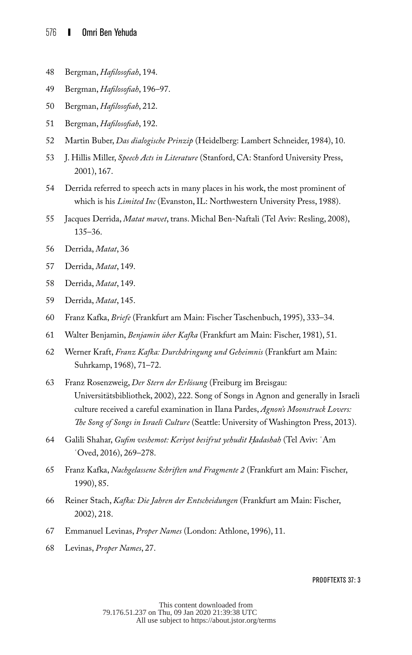- Bergman, *Hafilosofiah*, 194.
- Bergman, *Hafilosofiah*, 196–97.
- Bergman, *Hafilosofiah*, 212.
- Bergman, *Hafilosofiah*, 192.
- Martin Buber, *Das dialogische Prinzip* (Heidelberg: Lambert Schneider, 1984), 10.
- J. Hillis Miller, *Speech Acts in Literature* (Stanford, CA: Stanford University Press, 2001), 167.
- Derrida referred to speech acts in many places in his work, the most prominent of which is his *Limited Inc* (Evanston, IL: Northwestern University Press, 1988).
- Jacques Derrida, *Matat mavet*, trans. Michal Ben-Naftali (Tel Aviv: Resling, 2008), 135–36.
- Derrida, *Matat*, 36
- Derrida, *Matat*, 149.
- Derrida, *Matat*, 149.
- Derrida, *Matat*, 145.
- Franz Kafka, *Briefe* (Frankfurt am Main: Fischer Taschenbuch, 1995), 333–34.
- Walter Benjamin, *Benjamin über Kafka* (Frankfurt am Main: Fischer, 1981), 51.
- Werner Kraft, *Franz Kafka: Durchdringung und Geheimnis* (Frankfurt am Main: Suhrkamp, 1968), 71–72.
- Franz Rosenzweig, *Der Stern der Erlösung* (Freiburg im Breisgau: Universitätsbibliothek, 2002), 222. Song of Songs in Agnon and generally in Israeli culture received a careful examination in Ilana Pardes, *Agnon's Moonstruck Lovers: The Song of Songs in Israeli Culture* (Seattle: University of Washington Press, 2013).
- Galili Shahar, *Gufim veshemot: Keriyot besifrut yehudit H. adashah* (Tel Aviv: ʿAm ʿOved, 2016), 269–278.
- Franz Kafka, *Nachgelassene Schriften und Fragmente 2* (Frankfurt am Main: Fischer, 1990), 85.
- Reiner Stach, *Kafka: Die Jahren der Entscheidungen* (Frankfurt am Main: Fischer, 2002), 218.
- Emmanuel Levinas, *Proper Names* (London: Athlone, 1996), 11.
- Levinas, *Proper Names*, 27.